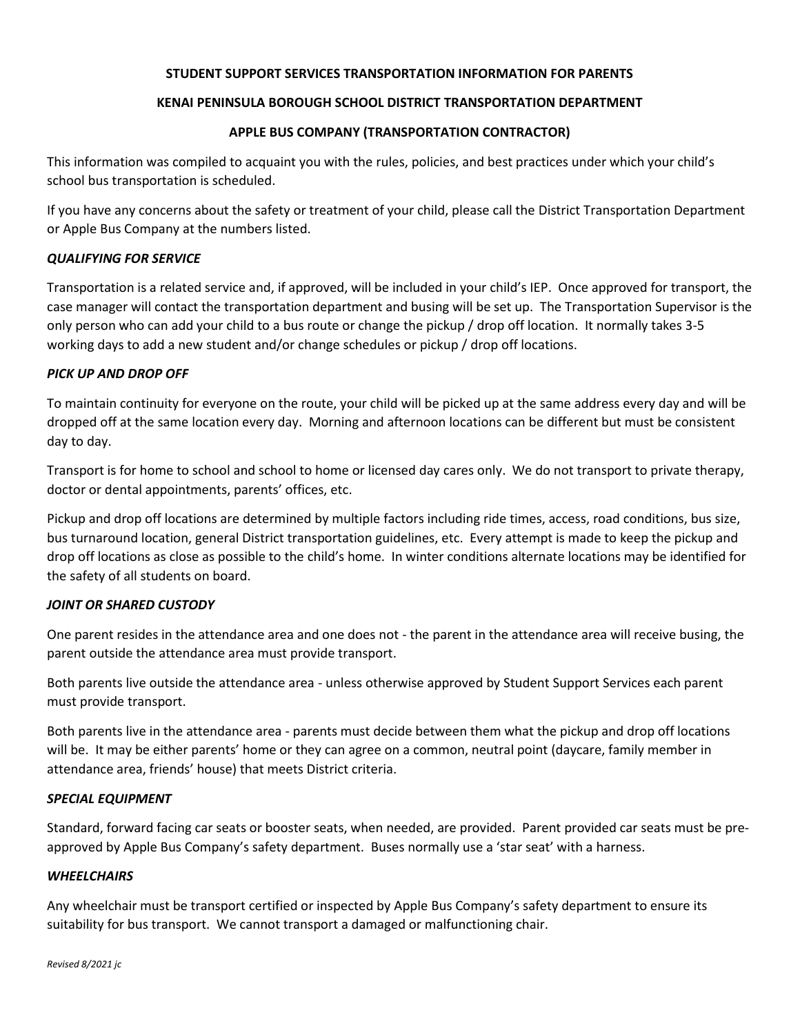#### **STUDENT SUPPORT SERVICES TRANSPORTATION INFORMATION FOR PARENTS**

### **KENAI PENINSULA BOROUGH SCHOOL DISTRICT TRANSPORTATION DEPARTMENT**

### **APPLE BUS COMPANY (TRANSPORTATION CONTRACTOR)**

This information was compiled to acquaint you with the rules, policies, and best practices under which your child's school bus transportation is scheduled.

If you have any concerns about the safety or treatment of your child, please call the District Transportation Department or Apple Bus Company at the numbers listed.

### *QUALIFYING FOR SERVICE*

Transportation is a related service and, if approved, will be included in your child's IEP. Once approved for transport, the case manager will contact the transportation department and busing will be set up. The Transportation Supervisor is the only person who can add your child to a bus route or change the pickup / drop off location. It normally takes 3-5 working days to add a new student and/or change schedules or pickup / drop off locations.

## *PICK UP AND DROP OFF*

To maintain continuity for everyone on the route, your child will be picked up at the same address every day and will be dropped off at the same location every day. Morning and afternoon locations can be different but must be consistent day to day.

Transport is for home to school and school to home or licensed day cares only. We do not transport to private therapy, doctor or dental appointments, parents' offices, etc.

Pickup and drop off locations are determined by multiple factors including ride times, access, road conditions, bus size, bus turnaround location, general District transportation guidelines, etc. Every attempt is made to keep the pickup and drop off locations as close as possible to the child's home. In winter conditions alternate locations may be identified for the safety of all students on board.

## *JOINT OR SHARED CUSTODY*

One parent resides in the attendance area and one does not - the parent in the attendance area will receive busing, the parent outside the attendance area must provide transport.

Both parents live outside the attendance area - unless otherwise approved by Student Support Services each parent must provide transport.

Both parents live in the attendance area - parents must decide between them what the pickup and drop off locations will be. It may be either parents' home or they can agree on a common, neutral point (daycare, family member in attendance area, friends' house) that meets District criteria.

### *SPECIAL EQUIPMENT*

Standard, forward facing car seats or booster seats, when needed, are provided. Parent provided car seats must be preapproved by Apple Bus Company's safety department. Buses normally use a 'star seat' with a harness.

### *WHEELCHAIRS*

Any wheelchair must be transport certified or inspected by Apple Bus Company's safety department to ensure its suitability for bus transport. We cannot transport a damaged or malfunctioning chair.